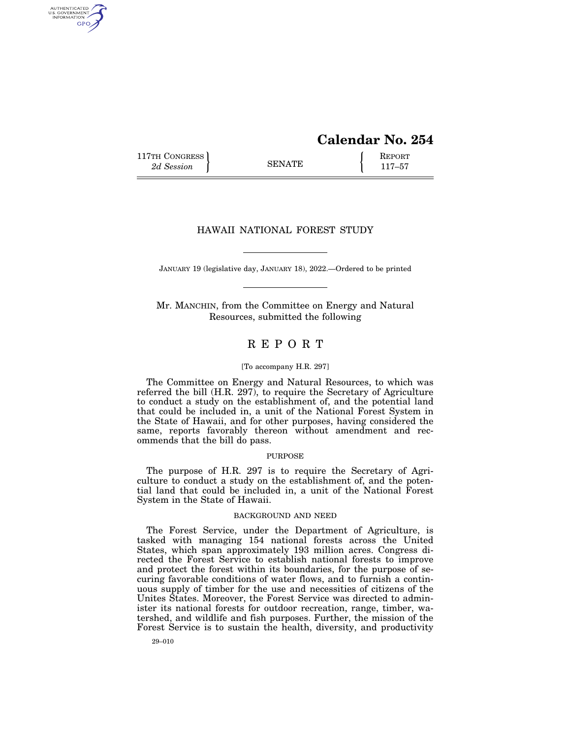# **Calendar No. 254**

117TH CONGRESS **REPORT** 2d Session **117–57** 

AUTHENTICATED U.S. GOVERNMENT GPO

## HAWAII NATIONAL FOREST STUDY

JANUARY 19 (legislative day, JANUARY 18), 2022.—Ordered to be printed

Mr. MANCHIN, from the Committee on Energy and Natural Resources, submitted the following

## R E P O R T

#### [To accompany H.R. 297]

The Committee on Energy and Natural Resources, to which was referred the bill  $(H.R. 297)$ , to require the Secretary of Agriculture to conduct a study on the establishment of, and the potential land that could be included in, a unit of the National Forest System in the State of Hawaii, and for other purposes, having considered the same, reports favorably thereon without amendment and recommends that the bill do pass.

#### PURPOSE

The purpose of H.R. 297 is to require the Secretary of Agriculture to conduct a study on the establishment of, and the potential land that could be included in, a unit of the National Forest System in the State of Hawaii.

#### BACKGROUND AND NEED

The Forest Service, under the Department of Agriculture, is tasked with managing 154 national forests across the United States, which span approximately 193 million acres. Congress directed the Forest Service to establish national forests to improve and protect the forest within its boundaries, for the purpose of securing favorable conditions of water flows, and to furnish a continuous supply of timber for the use and necessities of citizens of the Unites States. Moreover, the Forest Service was directed to administer its national forests for outdoor recreation, range, timber, watershed, and wildlife and fish purposes. Further, the mission of the Forest Service is to sustain the health, diversity, and productivity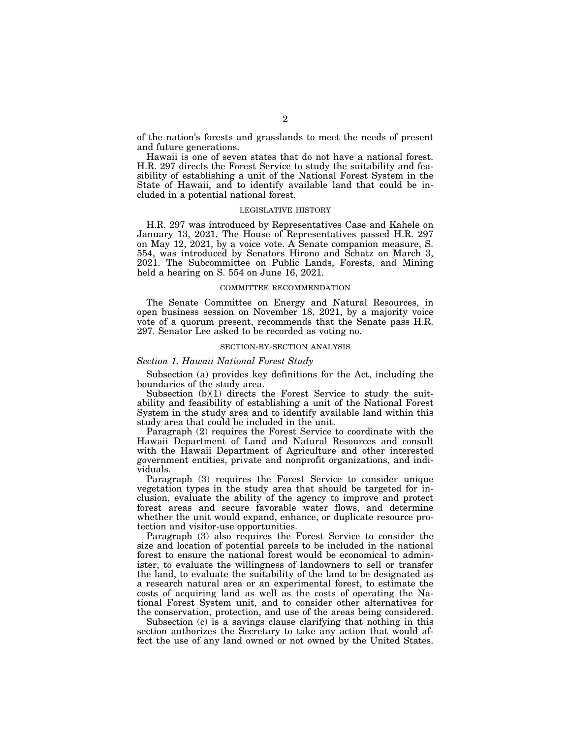of the nation's forests and grasslands to meet the needs of present and future generations.

Hawaii is one of seven states that do not have a national forest. H.R. 297 directs the Forest Service to study the suitability and feasibility of establishing a unit of the National Forest System in the State of Hawaii, and to identify available land that could be included in a potential national forest.

#### LEGISLATIVE HISTORY

H.R. 297 was introduced by Representatives Case and Kahele on January 13, 2021. The House of Representatives passed H.R. 297 on May 12, 2021, by a voice vote. A Senate companion measure, S. 554, was introduced by Senators Hirono and Schatz on March 3, 2021. The Subcommittee on Public Lands, Forests, and Mining held a hearing on S. 554 on June 16, 2021.

#### COMMITTEE RECOMMENDATION

The Senate Committee on Energy and Natural Resources, in open business session on November 18, 2021, by a majority voice vote of a quorum present, recommends that the Senate pass H.R. 297. Senator Lee asked to be recorded as voting no.

#### SECTION-BY-SECTION ANALYSIS

#### *Section 1. Hawaii National Forest Study*

Subsection (a) provides key definitions for the Act, including the boundaries of the study area.

Subsection (b)(1) directs the Forest Service to study the suitability and feasibility of establishing a unit of the National Forest System in the study area and to identify available land within this study area that could be included in the unit.

Paragraph (2) requires the Forest Service to coordinate with the Hawaii Department of Land and Natural Resources and consult with the Hawaii Department of Agriculture and other interested government entities, private and nonprofit organizations, and individuals.

Paragraph (3) requires the Forest Service to consider unique vegetation types in the study area that should be targeted for inclusion, evaluate the ability of the agency to improve and protect forest areas and secure favorable water flows, and determine whether the unit would expand, enhance, or duplicate resource protection and visitor-use opportunities.

Paragraph (3) also requires the Forest Service to consider the size and location of potential parcels to be included in the national forest to ensure the national forest would be economical to administer, to evaluate the willingness of landowners to sell or transfer the land, to evaluate the suitability of the land to be designated as a research natural area or an experimental forest, to estimate the costs of acquiring land as well as the costs of operating the National Forest System unit, and to consider other alternatives for the conservation, protection, and use of the areas being considered.

Subsection (c) is a savings clause clarifying that nothing in this section authorizes the Secretary to take any action that would affect the use of any land owned or not owned by the United States.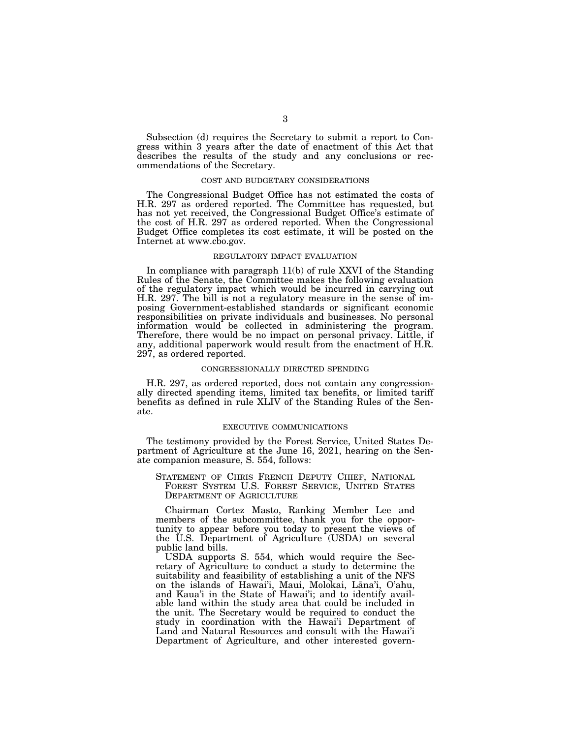Subsection (d) requires the Secretary to submit a report to Congress within 3 years after the date of enactment of this Act that describes the results of the study and any conclusions or recommendations of the Secretary.

### COST AND BUDGETARY CONSIDERATIONS

The Congressional Budget Office has not estimated the costs of H.R. 297 as ordered reported. The Committee has requested, but has not yet received, the Congressional Budget Office's estimate of the cost of H.R. 297 as ordered reported. When the Congressional Budget Office completes its cost estimate, it will be posted on the Internet at www.cbo.gov.

## REGULATORY IMPACT EVALUATION

In compliance with paragraph 11(b) of rule XXVI of the Standing Rules of the Senate, the Committee makes the following evaluation of the regulatory impact which would be incurred in carrying out H.R. 297. The bill is not a regulatory measure in the sense of imposing Government-established standards or significant economic responsibilities on private individuals and businesses. No personal information would be collected in administering the program. Therefore, there would be no impact on personal privacy. Little, if any, additional paperwork would result from the enactment of H.R. 297, as ordered reported.

#### CONGRESSIONALLY DIRECTED SPENDING

H.R. 297, as ordered reported, does not contain any congressionally directed spending items, limited tax benefits, or limited tariff benefits as defined in rule XLIV of the Standing Rules of the Senate.

#### EXECUTIVE COMMUNICATIONS

The testimony provided by the Forest Service, United States Department of Agriculture at the June 16, 2021, hearing on the Senate companion measure, S. 554, follows:

STATEMENT OF CHRIS FRENCH DEPUTY CHIEF, NATIONAL FOREST SYSTEM U.S. FOREST SERVICE, UNITED STATES DEPARTMENT OF AGRICULTURE

Chairman Cortez Masto, Ranking Member Lee and members of the subcommittee, thank you for the opportunity to appear before you today to present the views of the U.S. Department of Agriculture (USDA) on several public land bills.

USDA supports S. 554, which would require the Secretary of Agriculture to conduct a study to determine the suitability and feasibility of establishing a unit of the NFS on the islands of Hawai'i, Maui, Molokai, Lāna'i, O'ahu, and Kaua'i in the State of Hawai'i; and to identify available land within the study area that could be included in the unit. The Secretary would be required to conduct the study in coordination with the Hawai'i Department of Land and Natural Resources and consult with the Hawai'i Department of Agriculture, and other interested govern